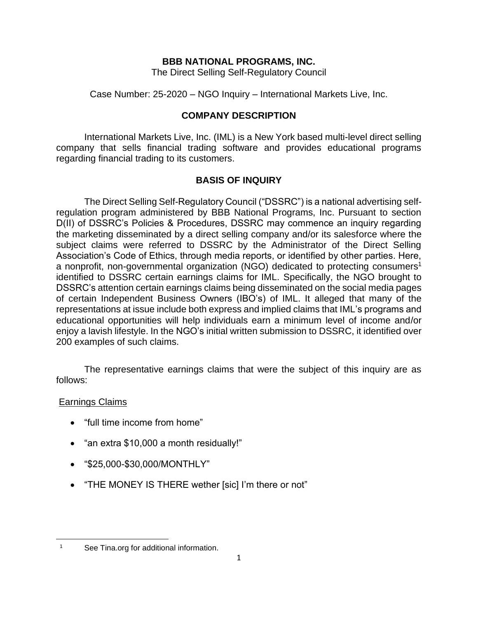## **BBB NATIONAL PROGRAMS, INC.**

The Direct Selling Self-Regulatory Council

Case Number: 25-2020 – NGO Inquiry – International Markets Live, Inc.

# **COMPANY DESCRIPTION**

International Markets Live, Inc. (IML) is a New York based multi-level direct selling company that sells financial trading software and provides educational programs regarding financial trading to its customers.

# **BASIS OF INQUIRY**

The Direct Selling Self-Regulatory Council ("DSSRC") is a national advertising selfregulation program administered by BBB National Programs, Inc. Pursuant to section D(II) of DSSRC's Policies & Procedures, DSSRC may commence an inquiry regarding the marketing disseminated by a direct selling company and/or its salesforce where the subject claims were referred to DSSRC by the Administrator of the Direct Selling Association's Code of Ethics, through media reports, or identified by other parties. Here, a nonprofit, non-governmental organization (NGO) dedicated to protecting consumers<sup>1</sup> identified to DSSRC certain earnings claims for IML. Specifically, the NGO brought to DSSRC's attention certain earnings claims being disseminated on the social media pages of certain Independent Business Owners (IBO's) of IML. It alleged that many of the representations at issue include both express and implied claims that IML's programs and educational opportunities will help individuals earn a minimum level of income and/or enjoy a lavish lifestyle. In the NGO's initial written submission to DSSRC, it identified over 200 examples of such claims.

The representative earnings claims that were the subject of this inquiry are as follows:

# Earnings Claims

- "full time income from home"
- "an extra \$10,000 a month residually!"
- "\$25,000-\$30,000/MONTHLY"
- "THE MONEY IS THERE wether [sic] I'm there or not"

<sup>1</sup> See Tina.org for additional information.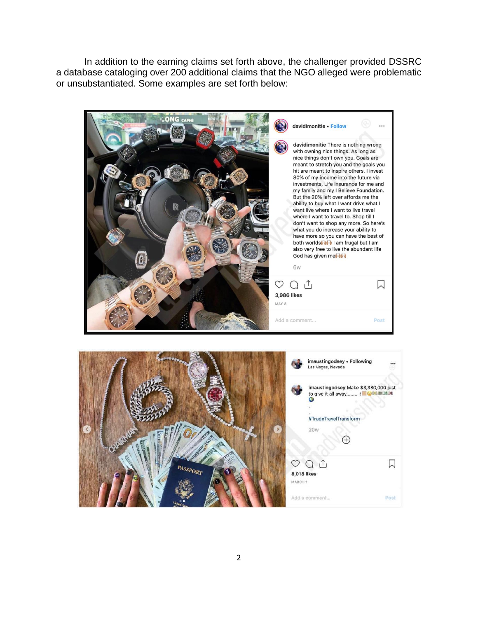In addition to the earning claims set forth above, the challenger provided DSSRC a database cataloging over 200 additional claims that the NGO alleged were problematic or unsubstantiated. Some examples are set forth below:



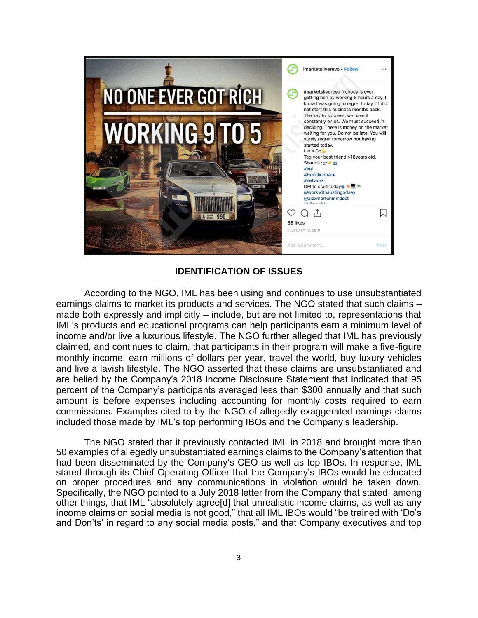

## **IDENTIFICATION OF ISSUES**

According to the NGO, IML has been using and continues to use unsubstantiated earnings claims to market its products and services. The NGO stated that such claims – made both expressly and implicitly – include, but are not limited to, representations that IML's products and educational programs can help participants earn a minimum level of income and/or live a luxurious lifestyle. The NGO further alleged that IML has previously claimed, and continues to claim, that participants in their program will make a five-figure monthly income, earn millions of dollars per year, travel the world, buy luxury vehicles and live a lavish lifestyle. The NGO asserted that these claims are unsubstantiated and are belied by the Company's 2018 Income Disclosure Statement that indicated that 95 percent of the Company's participants averaged less than \$300 annually and that such amount is before expenses including accounting for monthly costs required to earn commissions. Examples cited to by the NGO of allegedly exaggerated earnings claims included those made by IML's top performing IBOs and the Company's leadership.

The NGO stated that it previously contacted IML in 2018 and brought more than 50 examples of allegedly unsubstantiated earnings claims to the Company's attention that had been disseminated by the Company's CEO as well as top IBOs. In response, IML stated through its Chief Operating Officer that the Company's IBOs would be educated on proper procedures and any communications in violation would be taken down. Specifically, the NGO pointed to a July 2018 letter from the Company that stated, among other things, that IML "absolutely agree[d] that unrealistic income claims, as well as any income claims on social media is not good," that all IML IBOs would "be trained with 'Do's and Don'ts' in regard to any social media posts," and that Company executives and top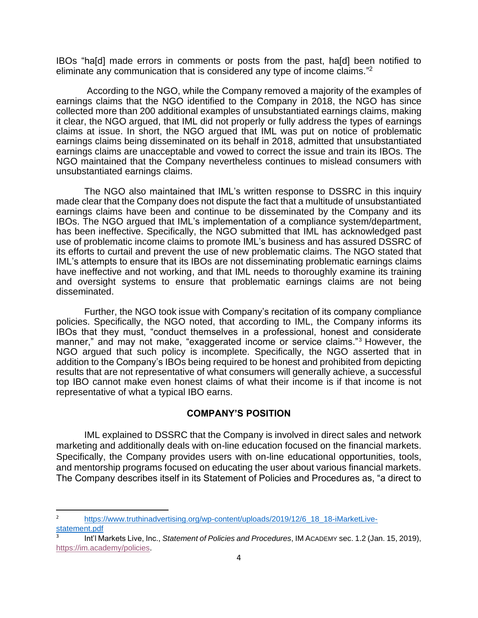IBOs "ha[d] made errors in comments or posts from the past, ha[d] been notified to eliminate any communication that is considered any type of income claims."<sup>2</sup>

According to the NGO, while the Company removed a majority of the examples of earnings claims that the NGO identified to the Company in 2018, the NGO has since collected more than 200 additional examples of unsubstantiated earnings claims, making it clear, the NGO argued, that IML did not properly or fully address the types of earnings claims at issue. In short, the NGO argued that IML was put on notice of problematic earnings claims being disseminated on its behalf in 2018, admitted that unsubstantiated earnings claims are unacceptable and vowed to correct the issue and train its IBOs. The NGO maintained that the Company nevertheless continues to mislead consumers with unsubstantiated earnings claims.

The NGO also maintained that IML's written response to DSSRC in this inquiry made clear that the Company does not dispute the fact that a multitude of unsubstantiated earnings claims have been and continue to be disseminated by the Company and its IBOs. The NGO argued that IML's implementation of a compliance system/department, has been ineffective. Specifically, the NGO submitted that IML has acknowledged past use of problematic income claims to promote IML's business and has assured DSSRC of its efforts to curtail and prevent the use of new problematic claims. The NGO stated that IML's attempts to ensure that its IBOs are not disseminating problematic earnings claims have ineffective and not working, and that IML needs to thoroughly examine its training and oversight systems to ensure that problematic earnings claims are not being disseminated.

Further, the NGO took issue with Company's recitation of its company compliance policies. Specifically, the NGO noted, that according to IML, the Company informs its IBOs that they must, "conduct themselves in a professional, honest and considerate manner," and may not make, "exaggerated income or service claims."<sup>3</sup> However, the NGO argued that such policy is incomplete. Specifically, the NGO asserted that in addition to the Company's IBOs being required to be honest and prohibited from depicting results that are not representative of what consumers will generally achieve, a successful top IBO cannot make even honest claims of what their income is if that income is not representative of what a typical IBO earns.

## **COMPANY'S POSITION**

IML explained to DSSRC that the Company is involved in direct sales and network marketing and additionally deals with on-line education focused on the financial markets. Specifically, the Company provides users with on-line educational opportunities, tools, and mentorship programs focused on educating the user about various financial markets. The Company describes itself in its Statement of Policies and Procedures as, "a direct to

<sup>2</sup> [https://www.truthinadvertising.org/wp-content/uploads/2019/12/6\\_18\\_18-iMarketLive](https://www.truthinadvertising.org/wp-content/uploads/2019/12/6_18_18-iMarketLive-statement.pdf)[statement.pdf](https://www.truthinadvertising.org/wp-content/uploads/2019/12/6_18_18-iMarketLive-statement.pdf)

<sup>3</sup> Int'l Markets Live, Inc., *Statement of Policies and Procedures*, IM ACADEMY sec. 1.2 (Jan. 15, 2019), [https://im.academy/policies.](https://im.academy/policies)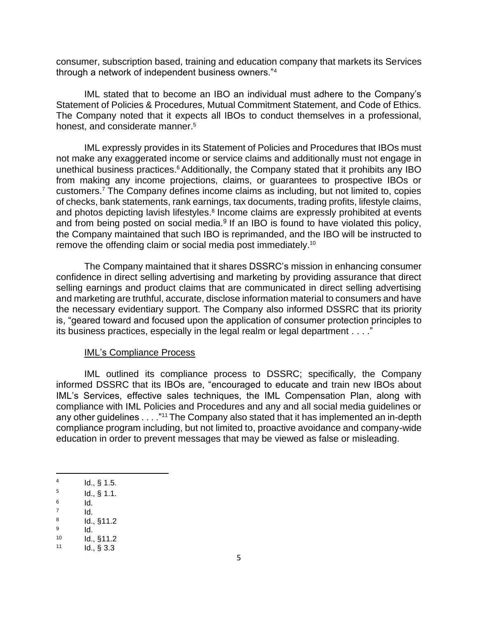consumer, subscription based, training and education company that markets its Services through a network of independent business owners."<sup>4</sup>

IML stated that to become an IBO an individual must adhere to the Company's Statement of Policies & Procedures, Mutual Commitment Statement, and Code of Ethics. The Company noted that it expects all IBOs to conduct themselves in a professional, honest, and considerate manner.<sup>5</sup>

IML expressly provides in its Statement of Policies and Procedures that IBOs must not make any exaggerated income or service claims and additionally must not engage in unethical business practices.<sup>6</sup> Additionally, the Company stated that it prohibits any IBO from making any income projections, claims, or guarantees to prospective IBOs or customers.<sup>7</sup> The Company defines income claims as including, but not limited to, copies of checks, bank statements, rank earnings, tax documents, trading profits, lifestyle claims, and photos depicting lavish lifestyles. 8 Income claims are expressly prohibited at events and from being posted on social media.<sup>9</sup> If an IBO is found to have violated this policy, the Company maintained that such IBO is reprimanded, and the IBO will be instructed to remove the offending claim or social media post immediately.<sup>10</sup>

The Company maintained that it shares DSSRC's mission in enhancing consumer confidence in direct selling advertising and marketing by providing assurance that direct selling earnings and product claims that are communicated in direct selling advertising and marketing are truthful, accurate, disclose information material to consumers and have the necessary evidentiary support. The Company also informed DSSRC that its priority is, "geared toward and focused upon the application of consumer protection principles to its business practices, especially in the legal realm or legal department . . . ."

#### IML's Compliance Process

IML outlined its compliance process to DSSRC; specifically, the Company informed DSSRC that its IBOs are, "encouraged to educate and train new IBOs about IML's Services, effective sales techniques, the IML Compensation Plan, along with compliance with IML Policies and Procedures and any and all social media guidelines or any other quidelines . . . . "<sup>11</sup> The Company also stated that it has implemented an in-depth compliance program including, but not limited to, proactive avoidance and company-wide education in order to prevent messages that may be viewed as false or misleading.

- 6 Id.
- 7 Id. 8
- Id., §11.2 9 Id.

<sup>4</sup> Id., § 1.5.

<sup>5</sup> Id., § 1.1.

 $10$  Id.,  $§11.2$ 

 $11$  Id., § 3.3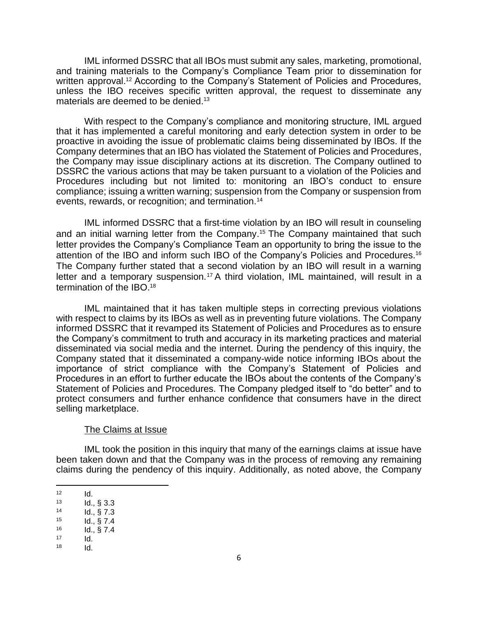IML informed DSSRC that all IBOs must submit any sales, marketing, promotional, and training materials to the Company's Compliance Team prior to dissemination for written approval.<sup>12</sup> According to the Company's Statement of Policies and Procedures, unless the IBO receives specific written approval, the request to disseminate any materials are deemed to be denied.<sup>13</sup>

With respect to the Company's compliance and monitoring structure, IML argued that it has implemented a careful monitoring and early detection system in order to be proactive in avoiding the issue of problematic claims being disseminated by IBOs. If the Company determines that an IBO has violated the Statement of Policies and Procedures, the Company may issue disciplinary actions at its discretion. The Company outlined to DSSRC the various actions that may be taken pursuant to a violation of the Policies and Procedures including but not limited to: monitoring an IBO's conduct to ensure compliance; issuing a written warning; suspension from the Company or suspension from events, rewards, or recognition; and termination.<sup>14</sup>

IML informed DSSRC that a first-time violation by an IBO will result in counseling and an initial warning letter from the Company. <sup>15</sup> The Company maintained that such letter provides the Company's Compliance Team an opportunity to bring the issue to the attention of the IBO and inform such IBO of the Company's Policies and Procedures.<sup>16</sup> The Company further stated that a second violation by an IBO will result in a warning letter and a temporary suspension.<sup>17</sup> A third violation, IML maintained, will result in a termination of the IBO.<sup>18</sup>

IML maintained that it has taken multiple steps in correcting previous violations with respect to claims by its IBOs as well as in preventing future violations. The Company informed DSSRC that it revamped its Statement of Policies and Procedures as to ensure the Company's commitment to truth and accuracy in its marketing practices and material disseminated via social media and the internet. During the pendency of this inquiry, the Company stated that it disseminated a company-wide notice informing IBOs about the importance of strict compliance with the Company's Statement of Policies and Procedures in an effort to further educate the IBOs about the contents of the Company's Statement of Policies and Procedures. The Company pledged itself to "do better" and to protect consumers and further enhance confidence that consumers have in the direct selling marketplace.

#### The Claims at Issue

IML took the position in this inquiry that many of the earnings claims at issue have been taken down and that the Company was in the process of removing any remaining claims during the pendency of this inquiry. Additionally, as noted above, the Company

 $12$  **Id.**<br> $13$  **Id.** 

 $13$  Id.,  $\S 3.3$ <br> $14$  Id.  $\S 7.3$ 

 $Id., \S$  7.3

 $15$  Id.,  $\frac{6}{5}$  7.4

<sup>16</sup> Id., § 7.4

 $17$   $\qquad$   $\qquad$   $\qquad$   $\qquad$   $\qquad$   $\qquad$   $\qquad$   $\qquad$   $\qquad$   $\qquad$   $\qquad$   $\qquad$   $\qquad$   $\qquad$   $\qquad$   $\qquad$   $\qquad$   $\qquad$   $\qquad$   $\qquad$   $\qquad$   $\qquad$   $\qquad$   $\qquad$   $\qquad$   $\qquad$   $\qquad$   $\qquad$   $\qquad$   $\qquad$   $\qquad$   $\qquad$   $\qquad$   $\qquad$   $\qquad$   $\qquad$ 

 $18$  Id.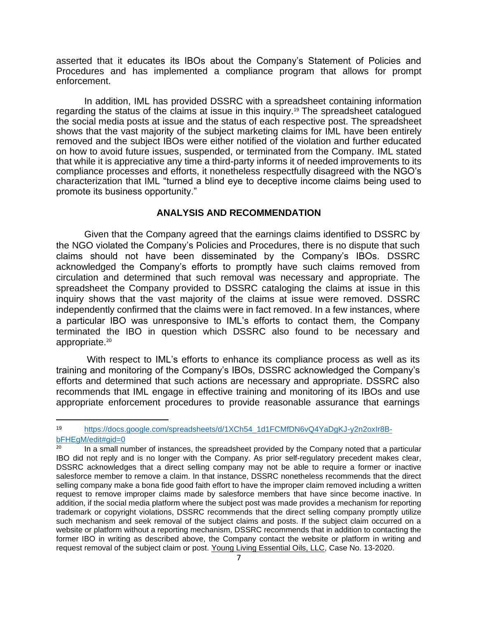asserted that it educates its IBOs about the Company's Statement of Policies and Procedures and has implemented a compliance program that allows for prompt enforcement.

In addition, IML has provided DSSRC with a spreadsheet containing information regarding the status of the claims at issue in this inquiry. <sup>19</sup> The spreadsheet catalogued the social media posts at issue and the status of each respective post. The spreadsheet shows that the vast majority of the subject marketing claims for IML have been entirely removed and the subject IBOs were either notified of the violation and further educated on how to avoid future issues, suspended, or terminated from the Company. IML stated that while it is appreciative any time a third-party informs it of needed improvements to its compliance processes and efforts, it nonetheless respectfully disagreed with the NGO's characterization that IML "turned a blind eye to deceptive income claims being used to promote its business opportunity."

### **ANALYSIS AND RECOMMENDATION**

Given that the Company agreed that the earnings claims identified to DSSRC by the NGO violated the Company's Policies and Procedures, there is no dispute that such claims should not have been disseminated by the Company's IBOs. DSSRC acknowledged the Company's efforts to promptly have such claims removed from circulation and determined that such removal was necessary and appropriate. The spreadsheet the Company provided to DSSRC cataloging the claims at issue in this inquiry shows that the vast majority of the claims at issue were removed. DSSRC independently confirmed that the claims were in fact removed. In a few instances, where a particular IBO was unresponsive to IML's efforts to contact them, the Company terminated the IBO in question which DSSRC also found to be necessary and appropriate.<sup>20</sup>

With respect to IML's efforts to enhance its compliance process as well as its training and monitoring of the Company's IBOs, DSSRC acknowledged the Company's efforts and determined that such actions are necessary and appropriate. DSSRC also recommends that IML engage in effective training and monitoring of its IBOs and use appropriate enforcement procedures to provide reasonable assurance that earnings

<sup>19</sup> [https://docs.google.com/spreadsheets/d/1XCh54\\_1d1FCMfDN6vQ4YaDgKJ-y2n2oxIr8B](https://docs.google.com/spreadsheets/d/1XCh54_1d1FCMfDN6vQ4YaDgKJ-y2n2oxIr8B-bFHEgM/edit#gid=0)[bFHEgM/edit#gid=0](https://docs.google.com/spreadsheets/d/1XCh54_1d1FCMfDN6vQ4YaDgKJ-y2n2oxIr8B-bFHEgM/edit#gid=0)

<sup>&</sup>lt;sup>20</sup> In a small number of instances, the spreadsheet provided by the Company noted that a particular IBO did not reply and is no longer with the Company. As prior self-regulatory precedent makes clear, DSSRC acknowledges that a direct selling company may not be able to require a former or inactive salesforce member to remove a claim. In that instance, DSSRC nonetheless recommends that the direct selling company make a bona fide good faith effort to have the improper claim removed including a written request to remove improper claims made by salesforce members that have since become inactive. In addition, if the social media platform where the subject post was made provides a mechanism for reporting trademark or copyright violations, DSSRC recommends that the direct selling company promptly utilize such mechanism and seek removal of the subject claims and posts. If the subject claim occurred on a website or platform without a reporting mechanism, DSSRC recommends that in addition to contacting the former IBO in writing as described above, the Company contact the website or platform in writing and request removal of the subject claim or post. Young Living Essential Oils, LLC, Case No. 13-2020.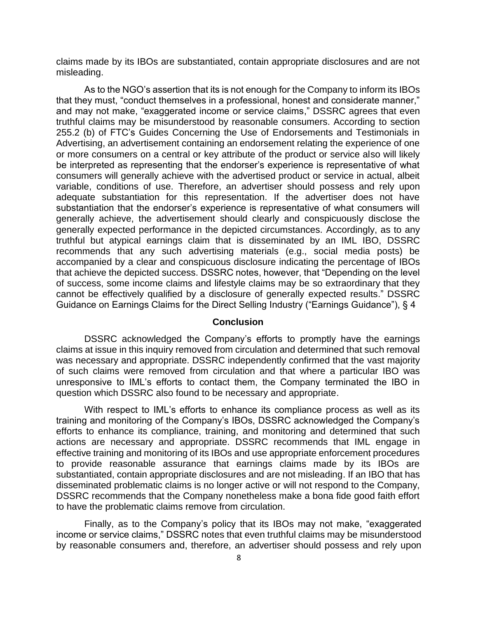claims made by its IBOs are substantiated, contain appropriate disclosures and are not misleading.

As to the NGO's assertion that its is not enough for the Company to inform its IBOs that they must, "conduct themselves in a professional, honest and considerate manner," and may not make, "exaggerated income or service claims," DSSRC agrees that even truthful claims may be misunderstood by reasonable consumers. According to section 255.2 (b) of FTC's Guides Concerning the Use of Endorsements and Testimonials in Advertising, an advertisement containing an endorsement relating the experience of one or more consumers on a central or key attribute of the product or service also will likely be interpreted as representing that the endorser's experience is representative of what consumers will generally achieve with the advertised product or service in actual, albeit variable, conditions of use. Therefore, an advertiser should possess and rely upon adequate substantiation for this representation. If the advertiser does not have substantiation that the endorser's experience is representative of what consumers will generally achieve, the advertisement should clearly and conspicuously disclose the generally expected performance in the depicted circumstances. Accordingly, as to any truthful but atypical earnings claim that is disseminated by an IML IBO, DSSRC recommends that any such advertising materials (e.g., social media posts) be accompanied by a clear and conspicuous disclosure indicating the percentage of IBOs that achieve the depicted success. DSSRC notes, however, that "Depending on the level of success, some income claims and lifestyle claims may be so extraordinary that they cannot be effectively qualified by a disclosure of generally expected results." DSSRC Guidance on Earnings Claims for the Direct Selling Industry ("Earnings Guidance"), § 4

### **Conclusion**

DSSRC acknowledged the Company's efforts to promptly have the earnings claims at issue in this inquiry removed from circulation and determined that such removal was necessary and appropriate. DSSRC independently confirmed that the vast majority of such claims were removed from circulation and that where a particular IBO was unresponsive to IML's efforts to contact them, the Company terminated the IBO in question which DSSRC also found to be necessary and appropriate.

With respect to IML's efforts to enhance its compliance process as well as its training and monitoring of the Company's IBOs, DSSRC acknowledged the Company's efforts to enhance its compliance, training, and monitoring and determined that such actions are necessary and appropriate. DSSRC recommends that IML engage in effective training and monitoring of its IBOs and use appropriate enforcement procedures to provide reasonable assurance that earnings claims made by its IBOs are substantiated, contain appropriate disclosures and are not misleading. If an IBO that has disseminated problematic claims is no longer active or will not respond to the Company, DSSRC recommends that the Company nonetheless make a bona fide good faith effort to have the problematic claims remove from circulation.

Finally, as to the Company's policy that its IBOs may not make, "exaggerated income or service claims," DSSRC notes that even truthful claims may be misunderstood by reasonable consumers and, therefore, an advertiser should possess and rely upon